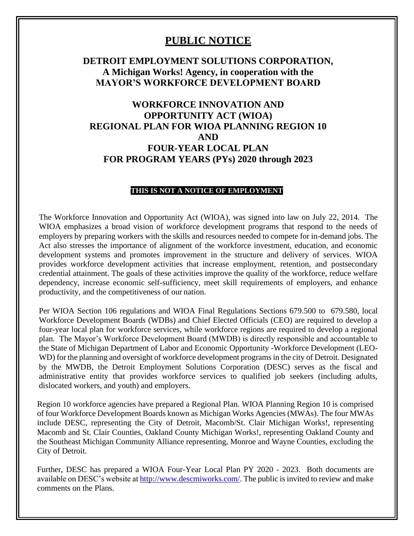## **PUBLIC NOTICE**

### **DETROIT EMPLOYMENT SOLUTIONS CORPORATION, A Michigan Works! Agency, in cooperation with the MAYOR'S WORKFORCE DEVELOPMENT BOARD**

# **WORKFORCE INNOVATION AND OPPORTUNITY ACT (WIOA) REGIONAL PLAN FOR WIOA PLANNING REGION 10 AND FOUR-YEAR LOCAL PLAN FOR PROGRAM YEARS (PYs) 2020 through 2023**

#### **THIS IS NOT A NOTICE OF EMPLOYMENT**

The Workforce Innovation and Opportunity Act (WIOA), was signed into law on July 22, 2014. The WIOA emphasizes a broad vision of workforce development programs that respond to the needs of employers by preparing workers with the skills and resources needed to compete for in-demand jobs. The Act also stresses the importance of alignment of the workforce investment, education, and economic development systems and promotes improvement in the structure and delivery of services. WIOA provides workforce development activities that increase employment, retention, and postsecondary credential attainment. The goals of these activities improve the quality of the workforce, reduce welfare dependency, increase economic self-sufficiency, meet skill requirements of employers, and enhance productivity, and the competitiveness of our nation.

Per WIOA Section 106 regulations and WIOA Final Regulations Sections 679.500 to 679.580, local Workforce Development Boards (WDBs) and Chief Elected Officials (CEO) are required to develop a four-year local plan for workforce services, while workforce regions are required to develop a regional plan. The Mayor's Workforce Development Board (MWDB) is directly responsible and accountable to the State of Michigan Department of Labor and Economic Opportunity -Workforce Development (LEO-WD) for the planning and oversight of workforce development programs in the city of Detroit. Designated by the MWDB, the Detroit Employment Solutions Corporation (DESC) serves as the fiscal and administrative entity that provides workforce services to qualified job seekers (including adults, dislocated workers, and youth) and employers.

Region 10 workforce agencies have prepared a Regional Plan. WIOA Planning Region 10 is comprised of four Workforce Development Boards known as Michigan Works Agencies (MWAs). The four MWAs include DESC, representing the City of Detroit, Macomb/St. Clair Michigan Works!, representing Macomb and St. Clair Counties, Oakland County Michigan Works!, representing Oakland County and the Southeast Michigan Community Alliance representing, Monroe and Wayne Counties, excluding the City of Detroit.

Further, DESC has prepared a WIOA Four-Year Local Plan PY 2020 - 2023. Both documents are available on DESC's website at [http://www.descmiworks.com/.](http://www.descmiworks.com/) The public is invited to review and make comments on the Plans.